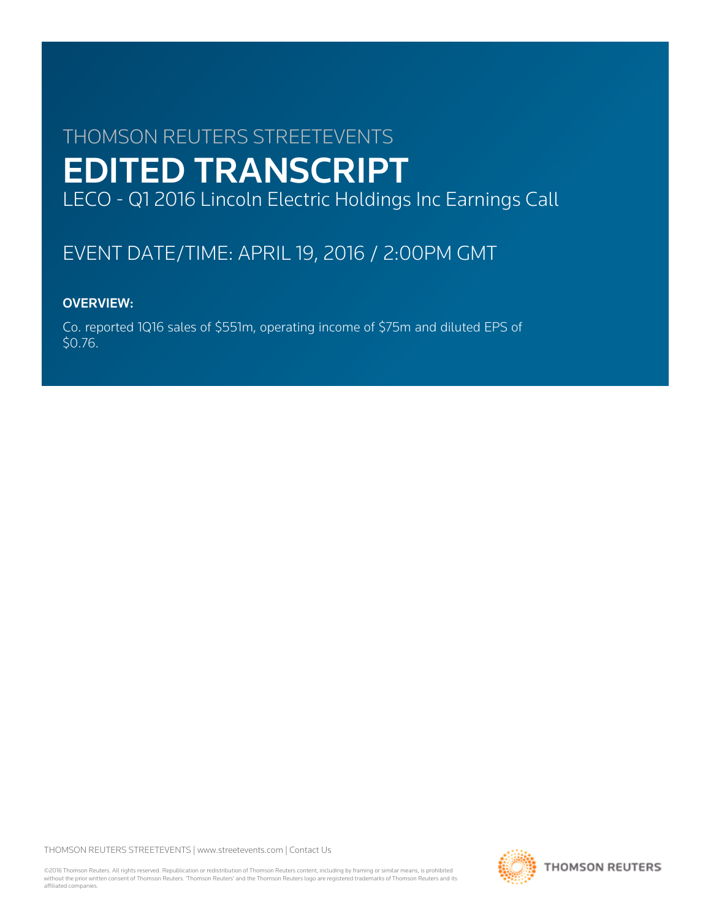# THOMSON REUTERS STREETEVENTS EDITED TRANSCRIPT LECO - Q1 2016 Lincoln Electric Holdings Inc Earnings Call

# EVENT DATE/TIME: APRIL 19, 2016 / 2:00PM GMT

# OVERVIEW:

Co. reported 1Q16 sales of \$551m, operating income of \$75m and diluted EPS of \$0.76.

THOMSON REUTERS STREETEVENTS | [www.streetevents.com](http://www.streetevents.com) | [Contact Us](http://www010.streetevents.com/contact.asp)

©2016 Thomson Reuters. All rights reserved. Republication or redistribution of Thomson Reuters content, including by framing or similar means, is prohibited without the prior written consent of Thomson Reuters. 'Thomson Reuters' and the Thomson Reuters logo are registered trademarks of Thomson Reuters and its affiliated companies.

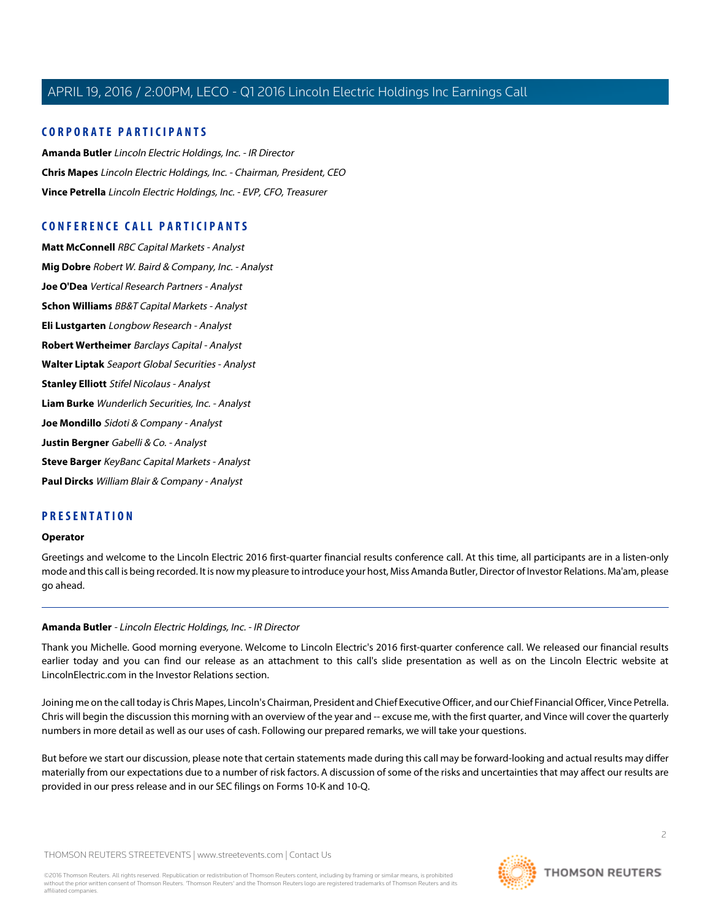# **CORPORATE PARTICIPANTS**

**[Amanda Butler](#page-1-0)** Lincoln Electric Holdings, Inc. - IR Director **[Chris Mapes](#page-2-0)** Lincoln Electric Holdings, Inc. - Chairman, President, CEO **[Vince Petrella](#page-3-0)** Lincoln Electric Holdings, Inc. - EVP, CFO, Treasurer

# **CONFERENCE CALL PARTICIPANTS**

**[Matt McConnell](#page-4-0)** RBC Capital Markets - Analyst **[Mig Dobre](#page-5-0)** Robert W. Baird & Company, Inc. - Analyst **[Joe O'Dea](#page-6-0)** Vertical Research Partners - Analyst **[Schon Williams](#page-7-0)** BB&T Capital Markets - Analyst **[Eli Lustgarten](#page-8-0)** Longbow Research - Analyst **[Robert Wertheimer](#page-9-0)** Barclays Capital - Analyst **[Walter Liptak](#page-10-0)** Seaport Global Securities - Analyst **[Stanley Elliott](#page-11-0)** Stifel Nicolaus - Analyst **[Liam Burke](#page-11-1)** Wunderlich Securities, Inc. - Analyst **[Joe Mondillo](#page-12-0)** Sidoti & Company - Analyst **[Justin Bergner](#page-13-0)** Gabelli & Co. - Analyst **[Steve Barger](#page-15-0)** KeyBanc Capital Markets - Analyst **[Paul Dircks](#page-17-0)** William Blair & Company - Analyst

# **PRESENTATION**

#### **Operator**

<span id="page-1-0"></span>Greetings and welcome to the Lincoln Electric 2016 first-quarter financial results conference call. At this time, all participants are in a listen-only mode and this call is being recorded. It is now my pleasure to introduce your host, Miss Amanda Butler, Director of Investor Relations. Ma'am, please go ahead.

# **Amanda Butler** - Lincoln Electric Holdings, Inc. - IR Director

Thank you Michelle. Good morning everyone. Welcome to Lincoln Electric's 2016 first-quarter conference call. We released our financial results earlier today and you can find our release as an attachment to this call's slide presentation as well as on the Lincoln Electric website at LincolnElectric.com in the Investor Relations section.

Joining me on the call today is Chris Mapes, Lincoln's Chairman, President and Chief Executive Officer, and our Chief Financial Officer, Vince Petrella. Chris will begin the discussion this morning with an overview of the year and -- excuse me, with the first quarter, and Vince will cover the quarterly numbers in more detail as well as our uses of cash. Following our prepared remarks, we will take your questions.

But before we start our discussion, please note that certain statements made during this call may be forward-looking and actual results may differ materially from our expectations due to a number of risk factors. A discussion of some of the risks and uncertainties that may affect our results are provided in our press release and in our SEC filings on Forms 10-K and 10-Q.

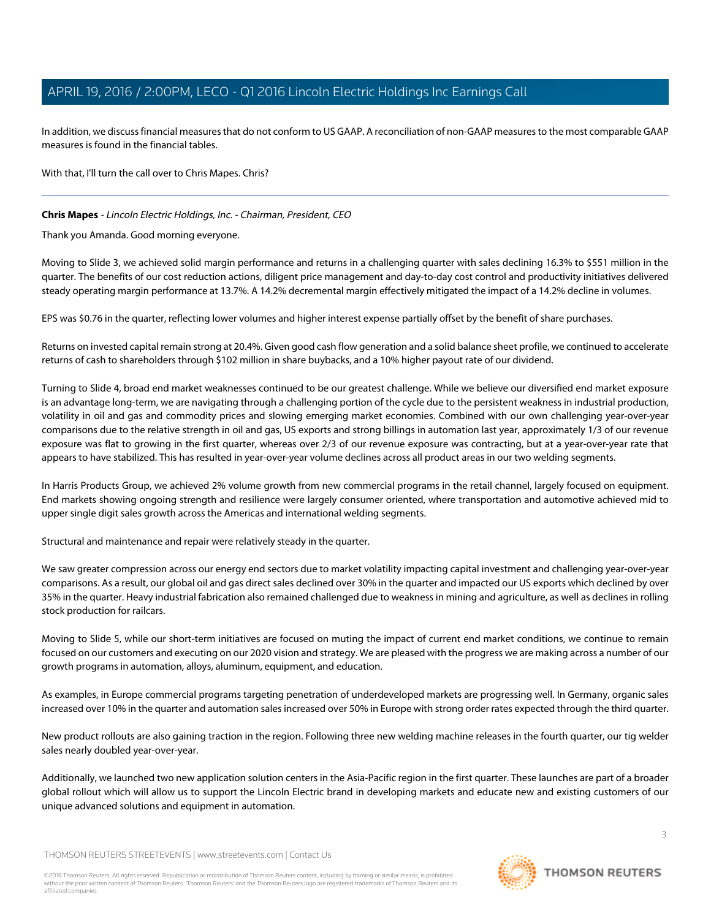In addition, we discuss financial measures that do not conform to US GAAP. A reconciliation of non-GAAP measures to the most comparable GAAP measures is found in the financial tables.

With that, I'll turn the call over to Chris Mapes. Chris?

# <span id="page-2-0"></span>**Chris Mapes** - Lincoln Electric Holdings, Inc. - Chairman, President, CEO

Thank you Amanda. Good morning everyone.

Moving to Slide 3, we achieved solid margin performance and returns in a challenging quarter with sales declining 16.3% to \$551 million in the quarter. The benefits of our cost reduction actions, diligent price management and day-to-day cost control and productivity initiatives delivered steady operating margin performance at 13.7%. A 14.2% decremental margin effectively mitigated the impact of a 14.2% decline in volumes.

EPS was \$0.76 in the quarter, reflecting lower volumes and higher interest expense partially offset by the benefit of share purchases.

Returns on invested capital remain strong at 20.4%. Given good cash flow generation and a solid balance sheet profile, we continued to accelerate returns of cash to shareholders through \$102 million in share buybacks, and a 10% higher payout rate of our dividend.

Turning to Slide 4, broad end market weaknesses continued to be our greatest challenge. While we believe our diversified end market exposure is an advantage long-term, we are navigating through a challenging portion of the cycle due to the persistent weakness in industrial production, volatility in oil and gas and commodity prices and slowing emerging market economies. Combined with our own challenging year-over-year comparisons due to the relative strength in oil and gas, US exports and strong billings in automation last year, approximately 1/3 of our revenue exposure was flat to growing in the first quarter, whereas over 2/3 of our revenue exposure was contracting, but at a year-over-year rate that appears to have stabilized. This has resulted in year-over-year volume declines across all product areas in our two welding segments.

In Harris Products Group, we achieved 2% volume growth from new commercial programs in the retail channel, largely focused on equipment. End markets showing ongoing strength and resilience were largely consumer oriented, where transportation and automotive achieved mid to upper single digit sales growth across the Americas and international welding segments.

Structural and maintenance and repair were relatively steady in the quarter.

We saw greater compression across our energy end sectors due to market volatility impacting capital investment and challenging year-over-year comparisons. As a result, our global oil and gas direct sales declined over 30% in the quarter and impacted our US exports which declined by over 35% in the quarter. Heavy industrial fabrication also remained challenged due to weakness in mining and agriculture, as well as declines in rolling stock production for railcars.

Moving to Slide 5, while our short-term initiatives are focused on muting the impact of current end market conditions, we continue to remain focused on our customers and executing on our 2020 vision and strategy. We are pleased with the progress we are making across a number of our growth programs in automation, alloys, aluminum, equipment, and education.

As examples, in Europe commercial programs targeting penetration of underdeveloped markets are progressing well. In Germany, organic sales increased over 10% in the quarter and automation sales increased over 50% in Europe with strong order rates expected through the third quarter.

New product rollouts are also gaining traction in the region. Following three new welding machine releases in the fourth quarter, our tig welder sales nearly doubled year-over-year.

Additionally, we launched two new application solution centers in the Asia-Pacific region in the first quarter. These launches are part of a broader global rollout which will allow us to support the Lincoln Electric brand in developing markets and educate new and existing customers of our unique advanced solutions and equipment in automation.

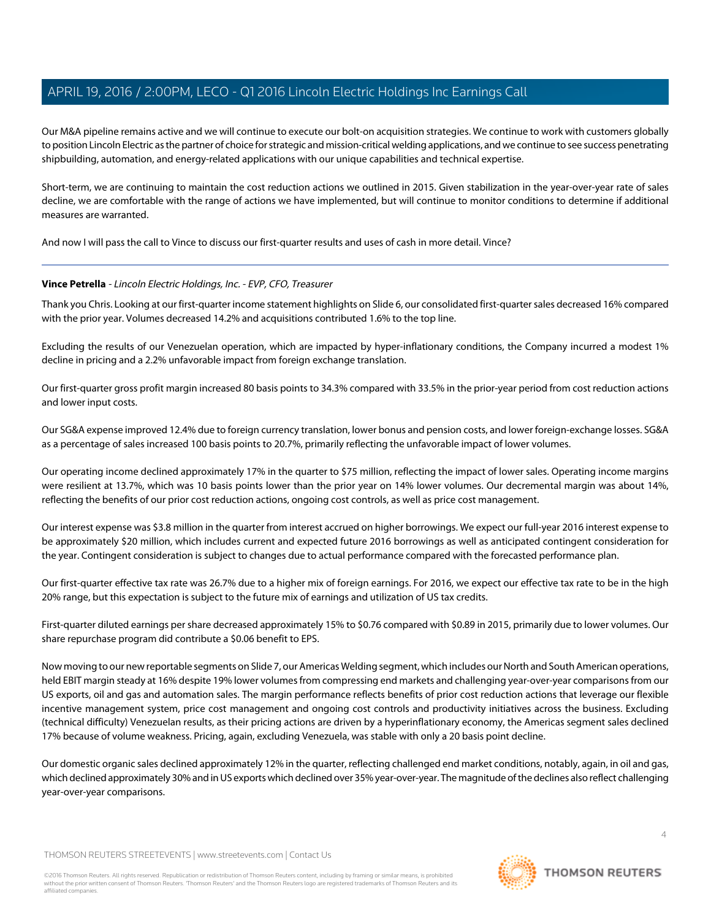Our M&A pipeline remains active and we will continue to execute our bolt-on acquisition strategies. We continue to work with customers globally to position Lincoln Electric as the partner of choice for strategic and mission-critical welding applications, and we continue to see success penetrating shipbuilding, automation, and energy-related applications with our unique capabilities and technical expertise.

Short-term, we are continuing to maintain the cost reduction actions we outlined in 2015. Given stabilization in the year-over-year rate of sales decline, we are comfortable with the range of actions we have implemented, but will continue to monitor conditions to determine if additional measures are warranted.

<span id="page-3-0"></span>And now I will pass the call to Vince to discuss our first-quarter results and uses of cash in more detail. Vince?

## **Vince Petrella** - Lincoln Electric Holdings, Inc. - EVP, CFO, Treasurer

Thank you Chris. Looking at our first-quarter income statement highlights on Slide 6, our consolidated first-quarter sales decreased 16% compared with the prior year. Volumes decreased 14.2% and acquisitions contributed 1.6% to the top line.

Excluding the results of our Venezuelan operation, which are impacted by hyper-inflationary conditions, the Company incurred a modest 1% decline in pricing and a 2.2% unfavorable impact from foreign exchange translation.

Our first-quarter gross profit margin increased 80 basis points to 34.3% compared with 33.5% in the prior-year period from cost reduction actions and lower input costs.

Our SG&A expense improved 12.4% due to foreign currency translation, lower bonus and pension costs, and lower foreign-exchange losses. SG&A as a percentage of sales increased 100 basis points to 20.7%, primarily reflecting the unfavorable impact of lower volumes.

Our operating income declined approximately 17% in the quarter to \$75 million, reflecting the impact of lower sales. Operating income margins were resilient at 13.7%, which was 10 basis points lower than the prior year on 14% lower volumes. Our decremental margin was about 14%, reflecting the benefits of our prior cost reduction actions, ongoing cost controls, as well as price cost management.

Our interest expense was \$3.8 million in the quarter from interest accrued on higher borrowings. We expect our full-year 2016 interest expense to be approximately \$20 million, which includes current and expected future 2016 borrowings as well as anticipated contingent consideration for the year. Contingent consideration is subject to changes due to actual performance compared with the forecasted performance plan.

Our first-quarter effective tax rate was 26.7% due to a higher mix of foreign earnings. For 2016, we expect our effective tax rate to be in the high 20% range, but this expectation is subject to the future mix of earnings and utilization of US tax credits.

First-quarter diluted earnings per share decreased approximately 15% to \$0.76 compared with \$0.89 in 2015, primarily due to lower volumes. Our share repurchase program did contribute a \$0.06 benefit to EPS.

Now moving to our new reportable segments on Slide 7, our Americas Welding segment, which includes our North and South American operations, held EBIT margin steady at 16% despite 19% lower volumes from compressing end markets and challenging year-over-year comparisons from our US exports, oil and gas and automation sales. The margin performance reflects benefits of prior cost reduction actions that leverage our flexible incentive management system, price cost management and ongoing cost controls and productivity initiatives across the business. Excluding (technical difficulty) Venezuelan results, as their pricing actions are driven by a hyperinflationary economy, the Americas segment sales declined 17% because of volume weakness. Pricing, again, excluding Venezuela, was stable with only a 20 basis point decline.

Our domestic organic sales declined approximately 12% in the quarter, reflecting challenged end market conditions, notably, again, in oil and gas, which declined approximately 30% and in US exports which declined over 35% year-over-year. The magnitude of the declines also reflect challenging year-over-year comparisons.

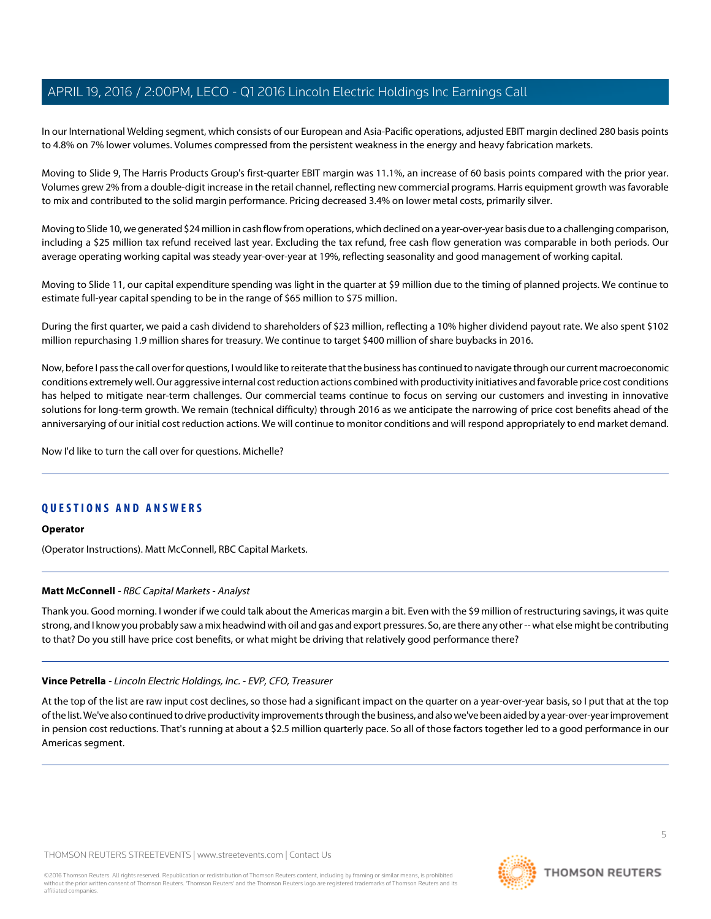In our International Welding segment, which consists of our European and Asia-Pacific operations, adjusted EBIT margin declined 280 basis points to 4.8% on 7% lower volumes. Volumes compressed from the persistent weakness in the energy and heavy fabrication markets.

Moving to Slide 9, The Harris Products Group's first-quarter EBIT margin was 11.1%, an increase of 60 basis points compared with the prior year. Volumes grew 2% from a double-digit increase in the retail channel, reflecting new commercial programs. Harris equipment growth was favorable to mix and contributed to the solid margin performance. Pricing decreased 3.4% on lower metal costs, primarily silver.

Moving to Slide 10, we generated \$24 million in cash flow from operations, which declined on a year-over-year basis due to a challenging comparison, including a \$25 million tax refund received last year. Excluding the tax refund, free cash flow generation was comparable in both periods. Our average operating working capital was steady year-over-year at 19%, reflecting seasonality and good management of working capital.

Moving to Slide 11, our capital expenditure spending was light in the quarter at \$9 million due to the timing of planned projects. We continue to estimate full-year capital spending to be in the range of \$65 million to \$75 million.

During the first quarter, we paid a cash dividend to shareholders of \$23 million, reflecting a 10% higher dividend payout rate. We also spent \$102 million repurchasing 1.9 million shares for treasury. We continue to target \$400 million of share buybacks in 2016.

Now, before I pass the call over for questions, I would like to reiterate that the business has continued to navigate through our current macroeconomic conditions extremely well. Our aggressive internal cost reduction actions combined with productivity initiatives and favorable price cost conditions has helped to mitigate near-term challenges. Our commercial teams continue to focus on serving our customers and investing in innovative solutions for long-term growth. We remain (technical difficulty) through 2016 as we anticipate the narrowing of price cost benefits ahead of the anniversarying of our initial cost reduction actions. We will continue to monitor conditions and will respond appropriately to end market demand.

Now I'd like to turn the call over for questions. Michelle?

# **QUESTIONS AND ANSWERS**

#### <span id="page-4-0"></span>**Operator**

(Operator Instructions). Matt McConnell, RBC Capital Markets.

# **Matt McConnell** - RBC Capital Markets - Analyst

Thank you. Good morning. I wonder if we could talk about the Americas margin a bit. Even with the \$9 million of restructuring savings, it was quite strong, and I know you probably saw a mix headwind with oil and gas and export pressures. So, are there any other -- what else might be contributing to that? Do you still have price cost benefits, or what might be driving that relatively good performance there?

#### **Vince Petrella** - Lincoln Electric Holdings, Inc. - EVP, CFO, Treasurer

At the top of the list are raw input cost declines, so those had a significant impact on the quarter on a year-over-year basis, so I put that at the top of the list. We've also continued to drive productivity improvements through the business, and also we've been aided by a year-over-year improvement in pension cost reductions. That's running at about a \$2.5 million quarterly pace. So all of those factors together led to a good performance in our Americas segment.

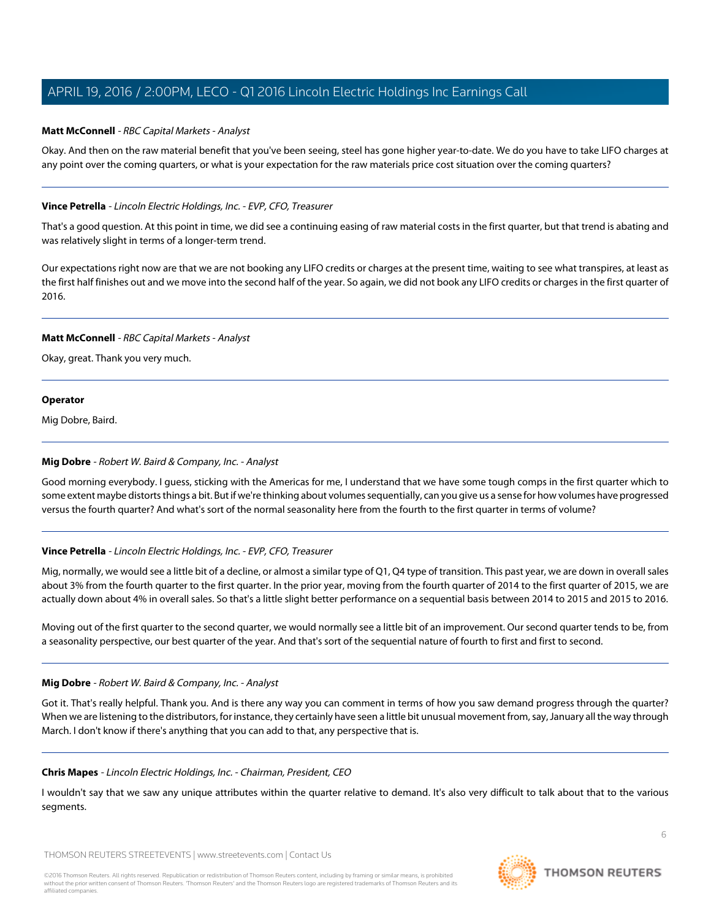# **Matt McConnell** - RBC Capital Markets - Analyst

Okay. And then on the raw material benefit that you've been seeing, steel has gone higher year-to-date. We do you have to take LIFO charges at any point over the coming quarters, or what is your expectation for the raw materials price cost situation over the coming quarters?

## **Vince Petrella** - Lincoln Electric Holdings, Inc. - EVP, CFO, Treasurer

That's a good question. At this point in time, we did see a continuing easing of raw material costs in the first quarter, but that trend is abating and was relatively slight in terms of a longer-term trend.

Our expectations right now are that we are not booking any LIFO credits or charges at the present time, waiting to see what transpires, at least as the first half finishes out and we move into the second half of the year. So again, we did not book any LIFO credits or charges in the first quarter of 2016.

## **Matt McConnell** - RBC Capital Markets - Analyst

Okay, great. Thank you very much.

#### **Operator**

<span id="page-5-0"></span>Mig Dobre, Baird.

# **Mig Dobre** - Robert W. Baird & Company, Inc. - Analyst

Good morning everybody. I guess, sticking with the Americas for me, I understand that we have some tough comps in the first quarter which to some extent maybe distorts things a bit. But if we're thinking about volumes sequentially, can you give us a sense for how volumes have progressed versus the fourth quarter? And what's sort of the normal seasonality here from the fourth to the first quarter in terms of volume?

# **Vince Petrella** - Lincoln Electric Holdings, Inc. - EVP, CFO, Treasurer

Mig, normally, we would see a little bit of a decline, or almost a similar type of Q1, Q4 type of transition. This past year, we are down in overall sales about 3% from the fourth quarter to the first quarter. In the prior year, moving from the fourth quarter of 2014 to the first quarter of 2015, we are actually down about 4% in overall sales. So that's a little slight better performance on a sequential basis between 2014 to 2015 and 2015 to 2016.

Moving out of the first quarter to the second quarter, we would normally see a little bit of an improvement. Our second quarter tends to be, from a seasonality perspective, our best quarter of the year. And that's sort of the sequential nature of fourth to first and first to second.

#### **Mig Dobre** - Robert W. Baird & Company, Inc. - Analyst

Got it. That's really helpful. Thank you. And is there any way you can comment in terms of how you saw demand progress through the quarter? When we are listening to the distributors, for instance, they certainly have seen a little bit unusual movement from, say, January all the way through March. I don't know if there's anything that you can add to that, any perspective that is.

#### **Chris Mapes** - Lincoln Electric Holdings, Inc. - Chairman, President, CEO

I wouldn't say that we saw any unique attributes within the quarter relative to demand. It's also very difficult to talk about that to the various segments.

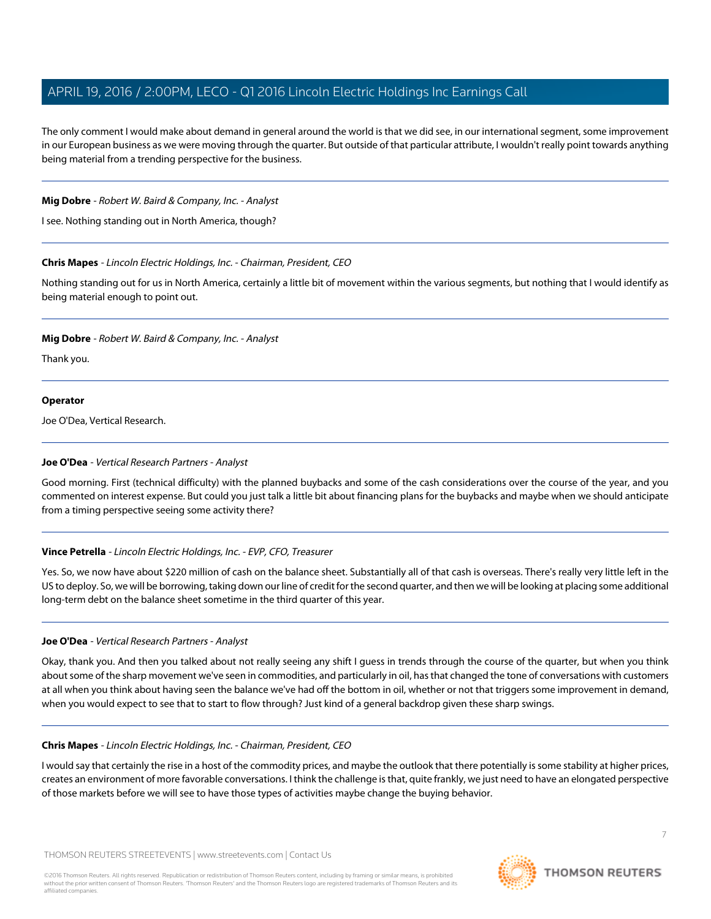The only comment I would make about demand in general around the world is that we did see, in our international segment, some improvement in our European business as we were moving through the quarter. But outside of that particular attribute, I wouldn't really point towards anything being material from a trending perspective for the business.

## **Mig Dobre** - Robert W. Baird & Company, Inc. - Analyst

I see. Nothing standing out in North America, though?

# **Chris Mapes** - Lincoln Electric Holdings, Inc. - Chairman, President, CEO

Nothing standing out for us in North America, certainly a little bit of movement within the various segments, but nothing that I would identify as being material enough to point out.

# **Mig Dobre** - Robert W. Baird & Company, Inc. - Analyst

Thank you.

# **Operator**

<span id="page-6-0"></span>Joe O'Dea, Vertical Research.

# **Joe O'Dea** - Vertical Research Partners - Analyst

Good morning. First (technical difficulty) with the planned buybacks and some of the cash considerations over the course of the year, and you commented on interest expense. But could you just talk a little bit about financing plans for the buybacks and maybe when we should anticipate from a timing perspective seeing some activity there?

# **Vince Petrella** - Lincoln Electric Holdings, Inc. - EVP, CFO, Treasurer

Yes. So, we now have about \$220 million of cash on the balance sheet. Substantially all of that cash is overseas. There's really very little left in the US to deploy. So, we will be borrowing, taking down our line of credit for the second quarter, and then we will be looking at placing some additional long-term debt on the balance sheet sometime in the third quarter of this year.

# **Joe O'Dea** - Vertical Research Partners - Analyst

Okay, thank you. And then you talked about not really seeing any shift I guess in trends through the course of the quarter, but when you think about some of the sharp movement we've seen in commodities, and particularly in oil, has that changed the tone of conversations with customers at all when you think about having seen the balance we've had off the bottom in oil, whether or not that triggers some improvement in demand, when you would expect to see that to start to flow through? Just kind of a general backdrop given these sharp swings.

# **Chris Mapes** - Lincoln Electric Holdings, Inc. - Chairman, President, CEO

I would say that certainly the rise in a host of the commodity prices, and maybe the outlook that there potentially is some stability at higher prices, creates an environment of more favorable conversations. I think the challenge is that, quite frankly, we just need to have an elongated perspective of those markets before we will see to have those types of activities maybe change the buying behavior.

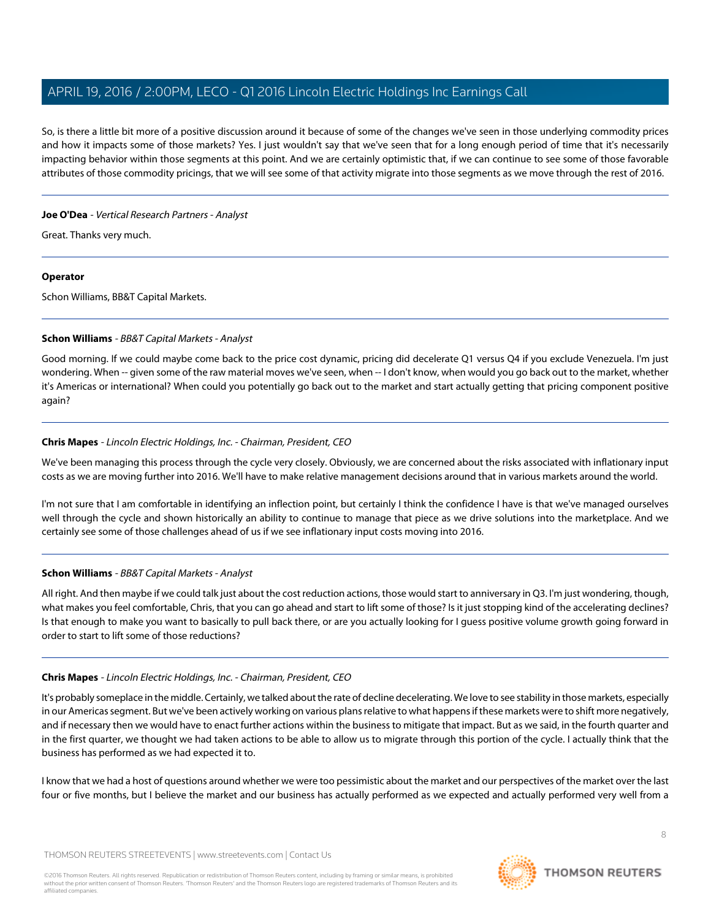So, is there a little bit more of a positive discussion around it because of some of the changes we've seen in those underlying commodity prices and how it impacts some of those markets? Yes. I just wouldn't say that we've seen that for a long enough period of time that it's necessarily impacting behavior within those segments at this point. And we are certainly optimistic that, if we can continue to see some of those favorable attributes of those commodity pricings, that we will see some of that activity migrate into those segments as we move through the rest of 2016.

## **Joe O'Dea** - Vertical Research Partners - Analyst

Great. Thanks very much.

## **Operator**

<span id="page-7-0"></span>Schon Williams, BB&T Capital Markets.

# **Schon Williams** - BB&T Capital Markets - Analyst

Good morning. If we could maybe come back to the price cost dynamic, pricing did decelerate Q1 versus Q4 if you exclude Venezuela. I'm just wondering. When -- given some of the raw material moves we've seen, when -- I don't know, when would you go back out to the market, whether it's Americas or international? When could you potentially go back out to the market and start actually getting that pricing component positive again?

# **Chris Mapes** - Lincoln Electric Holdings, Inc. - Chairman, President, CEO

We've been managing this process through the cycle very closely. Obviously, we are concerned about the risks associated with inflationary input costs as we are moving further into 2016. We'll have to make relative management decisions around that in various markets around the world.

I'm not sure that I am comfortable in identifying an inflection point, but certainly I think the confidence I have is that we've managed ourselves well through the cycle and shown historically an ability to continue to manage that piece as we drive solutions into the marketplace. And we certainly see some of those challenges ahead of us if we see inflationary input costs moving into 2016.

# **Schon Williams** - BB&T Capital Markets - Analyst

All right. And then maybe if we could talk just about the cost reduction actions, those would start to anniversary in Q3. I'm just wondering, though, what makes you feel comfortable, Chris, that you can go ahead and start to lift some of those? Is it just stopping kind of the accelerating declines? Is that enough to make you want to basically to pull back there, or are you actually looking for I guess positive volume growth going forward in order to start to lift some of those reductions?

# **Chris Mapes** - Lincoln Electric Holdings, Inc. - Chairman, President, CEO

It's probably someplace in the middle. Certainly, we talked about the rate of decline decelerating. We love to see stability in those markets, especially in our Americas segment. But we've been actively working on various plans relative to what happens if these markets were to shift more negatively, and if necessary then we would have to enact further actions within the business to mitigate that impact. But as we said, in the fourth quarter and in the first quarter, we thought we had taken actions to be able to allow us to migrate through this portion of the cycle. I actually think that the business has performed as we had expected it to.

I know that we had a host of questions around whether we were too pessimistic about the market and our perspectives of the market over the last four or five months, but I believe the market and our business has actually performed as we expected and actually performed very well from a

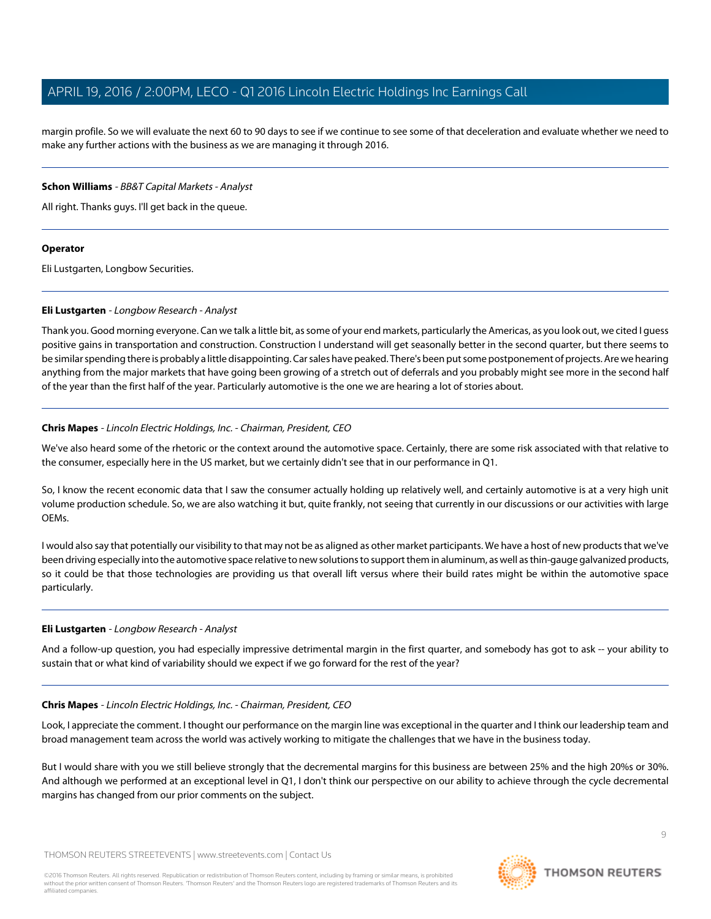margin profile. So we will evaluate the next 60 to 90 days to see if we continue to see some of that deceleration and evaluate whether we need to make any further actions with the business as we are managing it through 2016.

## **Schon Williams** - BB&T Capital Markets - Analyst

All right. Thanks guys. I'll get back in the queue.

## **Operator**

<span id="page-8-0"></span>Eli Lustgarten, Longbow Securities.

# **Eli Lustgarten** - Longbow Research - Analyst

Thank you. Good morning everyone. Can we talk a little bit, as some of your end markets, particularly the Americas, as you look out, we cited I guess positive gains in transportation and construction. Construction I understand will get seasonally better in the second quarter, but there seems to be similar spending there is probably a little disappointing. Car sales have peaked. There's been put some postponement of projects. Are we hearing anything from the major markets that have going been growing of a stretch out of deferrals and you probably might see more in the second half of the year than the first half of the year. Particularly automotive is the one we are hearing a lot of stories about.

# **Chris Mapes** - Lincoln Electric Holdings, Inc. - Chairman, President, CEO

We've also heard some of the rhetoric or the context around the automotive space. Certainly, there are some risk associated with that relative to the consumer, especially here in the US market, but we certainly didn't see that in our performance in Q1.

So, I know the recent economic data that I saw the consumer actually holding up relatively well, and certainly automotive is at a very high unit volume production schedule. So, we are also watching it but, quite frankly, not seeing that currently in our discussions or our activities with large OEMs.

I would also say that potentially our visibility to that may not be as aligned as other market participants. We have a host of new products that we've been driving especially into the automotive space relative to new solutions to support them in aluminum, as well as thin-gauge galvanized products, so it could be that those technologies are providing us that overall lift versus where their build rates might be within the automotive space particularly.

# **Eli Lustgarten** - Longbow Research - Analyst

And a follow-up question, you had especially impressive detrimental margin in the first quarter, and somebody has got to ask -- your ability to sustain that or what kind of variability should we expect if we go forward for the rest of the year?

# **Chris Mapes** - Lincoln Electric Holdings, Inc. - Chairman, President, CEO

Look, I appreciate the comment. I thought our performance on the margin line was exceptional in the quarter and I think our leadership team and broad management team across the world was actively working to mitigate the challenges that we have in the business today.

But I would share with you we still believe strongly that the decremental margins for this business are between 25% and the high 20%s or 30%. And although we performed at an exceptional level in Q1, I don't think our perspective on our ability to achieve through the cycle decremental margins has changed from our prior comments on the subject.

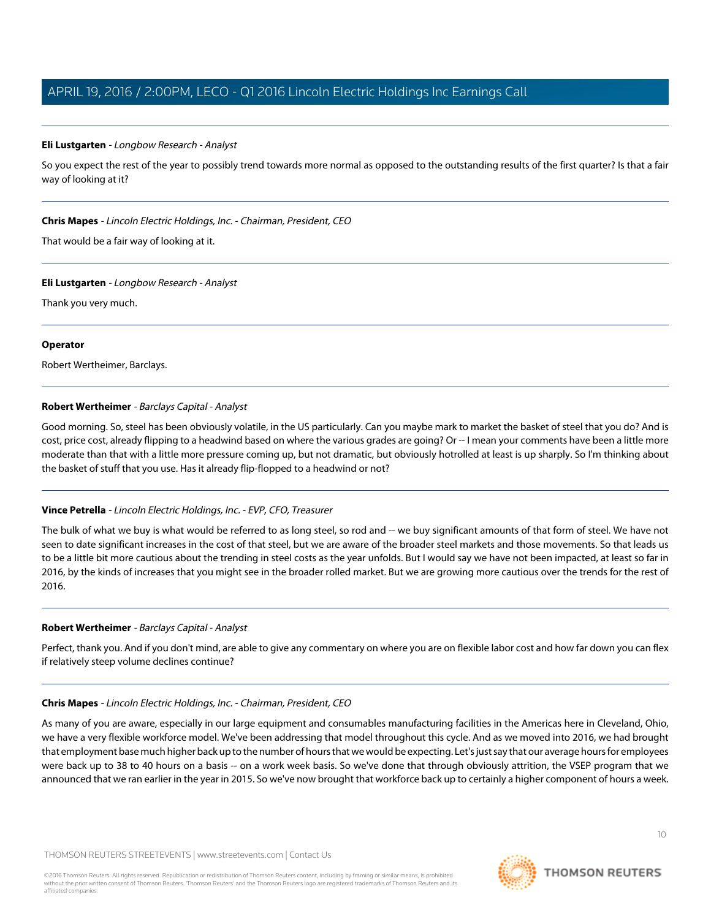#### **Eli Lustgarten** - Longbow Research - Analyst

So you expect the rest of the year to possibly trend towards more normal as opposed to the outstanding results of the first quarter? Is that a fair way of looking at it?

#### **Chris Mapes** - Lincoln Electric Holdings, Inc. - Chairman, President, CEO

That would be a fair way of looking at it.

#### **Eli Lustgarten** - Longbow Research - Analyst

Thank you very much.

## **Operator**

<span id="page-9-0"></span>Robert Wertheimer, Barclays.

## **Robert Wertheimer** - Barclays Capital - Analyst

Good morning. So, steel has been obviously volatile, in the US particularly. Can you maybe mark to market the basket of steel that you do? And is cost, price cost, already flipping to a headwind based on where the various grades are going? Or -- I mean your comments have been a little more moderate than that with a little more pressure coming up, but not dramatic, but obviously hotrolled at least is up sharply. So I'm thinking about the basket of stuff that you use. Has it already flip-flopped to a headwind or not?

# **Vince Petrella** - Lincoln Electric Holdings, Inc. - EVP, CFO, Treasurer

The bulk of what we buy is what would be referred to as long steel, so rod and -- we buy significant amounts of that form of steel. We have not seen to date significant increases in the cost of that steel, but we are aware of the broader steel markets and those movements. So that leads us to be a little bit more cautious about the trending in steel costs as the year unfolds. But I would say we have not been impacted, at least so far in 2016, by the kinds of increases that you might see in the broader rolled market. But we are growing more cautious over the trends for the rest of 2016.

#### **Robert Wertheimer** - Barclays Capital - Analyst

Perfect, thank you. And if you don't mind, are able to give any commentary on where you are on flexible labor cost and how far down you can flex if relatively steep volume declines continue?

#### **Chris Mapes** - Lincoln Electric Holdings, Inc. - Chairman, President, CEO

As many of you are aware, especially in our large equipment and consumables manufacturing facilities in the Americas here in Cleveland, Ohio, we have a very flexible workforce model. We've been addressing that model throughout this cycle. And as we moved into 2016, we had brought that employment base much higher back up to the number of hours that we would be expecting. Let's just say that our average hours for employees were back up to 38 to 40 hours on a basis -- on a work week basis. So we've done that through obviously attrition, the VSEP program that we announced that we ran earlier in the year in 2015. So we've now brought that workforce back up to certainly a higher component of hours a week.



**THOMSON REUTERS**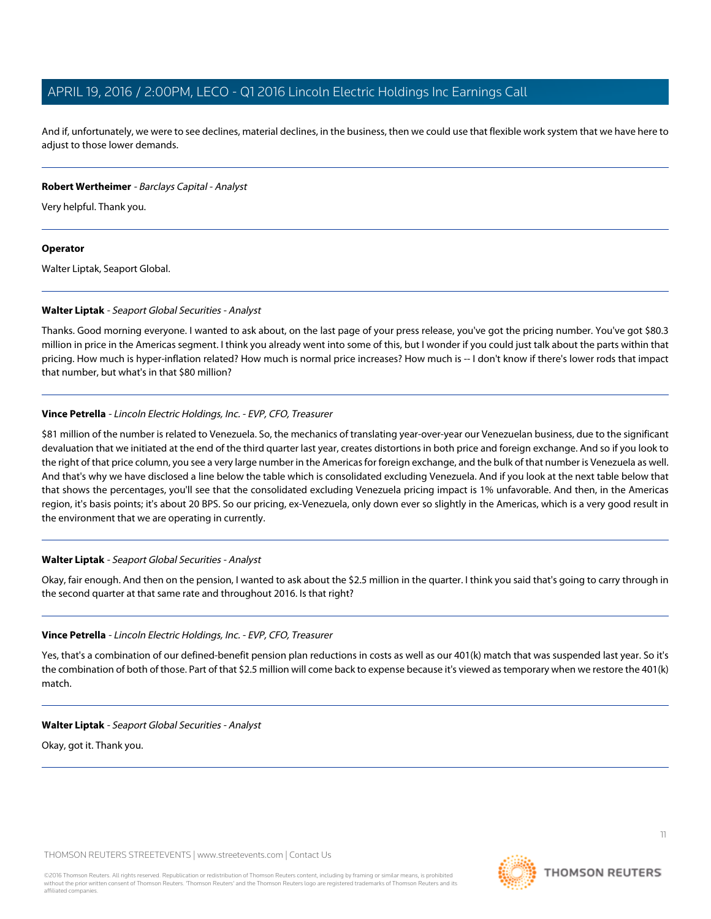And if, unfortunately, we were to see declines, material declines, in the business, then we could use that flexible work system that we have here to adjust to those lower demands.

#### **Robert Wertheimer** - Barclays Capital - Analyst

Very helpful. Thank you.

#### **Operator**

<span id="page-10-0"></span>Walter Liptak, Seaport Global.

## **Walter Liptak** - Seaport Global Securities - Analyst

Thanks. Good morning everyone. I wanted to ask about, on the last page of your press release, you've got the pricing number. You've got \$80.3 million in price in the Americas segment. I think you already went into some of this, but I wonder if you could just talk about the parts within that pricing. How much is hyper-inflation related? How much is normal price increases? How much is -- I don't know if there's lower rods that impact that number, but what's in that \$80 million?

## **Vince Petrella** - Lincoln Electric Holdings, Inc. - EVP, CFO, Treasurer

\$81 million of the number is related to Venezuela. So, the mechanics of translating year-over-year our Venezuelan business, due to the significant devaluation that we initiated at the end of the third quarter last year, creates distortions in both price and foreign exchange. And so if you look to the right of that price column, you see a very large number in the Americas for foreign exchange, and the bulk of that number is Venezuela as well. And that's why we have disclosed a line below the table which is consolidated excluding Venezuela. And if you look at the next table below that that shows the percentages, you'll see that the consolidated excluding Venezuela pricing impact is 1% unfavorable. And then, in the Americas region, it's basis points; it's about 20 BPS. So our pricing, ex-Venezuela, only down ever so slightly in the Americas, which is a very good result in the environment that we are operating in currently.

#### **Walter Liptak** - Seaport Global Securities - Analyst

Okay, fair enough. And then on the pension, I wanted to ask about the \$2.5 million in the quarter. I think you said that's going to carry through in the second quarter at that same rate and throughout 2016. Is that right?

#### **Vince Petrella** - Lincoln Electric Holdings, Inc. - EVP, CFO, Treasurer

Yes, that's a combination of our defined-benefit pension plan reductions in costs as well as our 401(k) match that was suspended last year. So it's the combination of both of those. Part of that \$2.5 million will come back to expense because it's viewed as temporary when we restore the 401(k) match.

#### **Walter Liptak** - Seaport Global Securities - Analyst

Okay, got it. Thank you.

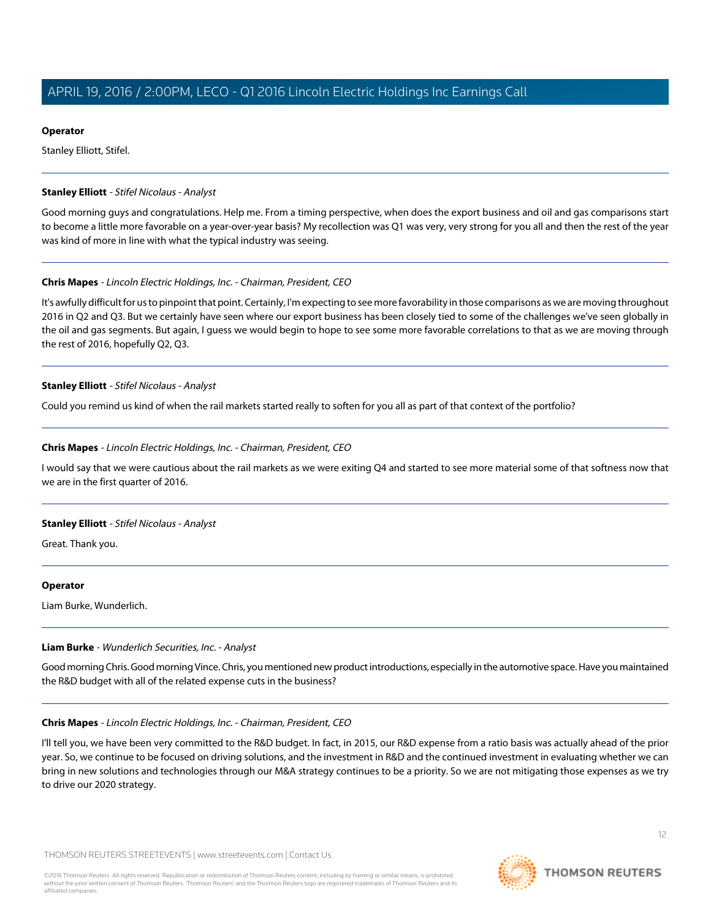#### **Operator**

Stanley Elliott, Stifel.

#### <span id="page-11-0"></span>**Stanley Elliott** - Stifel Nicolaus - Analyst

Good morning guys and congratulations. Help me. From a timing perspective, when does the export business and oil and gas comparisons start to become a little more favorable on a year-over-year basis? My recollection was Q1 was very, very strong for you all and then the rest of the year was kind of more in line with what the typical industry was seeing.

## **Chris Mapes** - Lincoln Electric Holdings, Inc. - Chairman, President, CEO

It's awfully difficult for us to pinpoint that point. Certainly, I'm expecting to see more favorability in those comparisons as we are moving throughout 2016 in Q2 and Q3. But we certainly have seen where our export business has been closely tied to some of the challenges we've seen globally in the oil and gas segments. But again, I guess we would begin to hope to see some more favorable correlations to that as we are moving through the rest of 2016, hopefully Q2, Q3.

## **Stanley Elliott** - Stifel Nicolaus - Analyst

Could you remind us kind of when the rail markets started really to soften for you all as part of that context of the portfolio?

## **Chris Mapes** - Lincoln Electric Holdings, Inc. - Chairman, President, CEO

I would say that we were cautious about the rail markets as we were exiting Q4 and started to see more material some of that softness now that we are in the first quarter of 2016.

# **Stanley Elliott** - Stifel Nicolaus - Analyst

Great. Thank you.

#### <span id="page-11-1"></span>**Operator**

Liam Burke, Wunderlich.

#### **Liam Burke** - Wunderlich Securities, Inc. - Analyst

Good morning Chris. Good morning Vince. Chris, you mentioned new product introductions, especially in the automotive space. Have you maintained the R&D budget with all of the related expense cuts in the business?

#### **Chris Mapes** - Lincoln Electric Holdings, Inc. - Chairman, President, CEO

I'll tell you, we have been very committed to the R&D budget. In fact, in 2015, our R&D expense from a ratio basis was actually ahead of the prior year. So, we continue to be focused on driving solutions, and the investment in R&D and the continued investment in evaluating whether we can bring in new solutions and technologies through our M&A strategy continues to be a priority. So we are not mitigating those expenses as we try to drive our 2020 strategy.

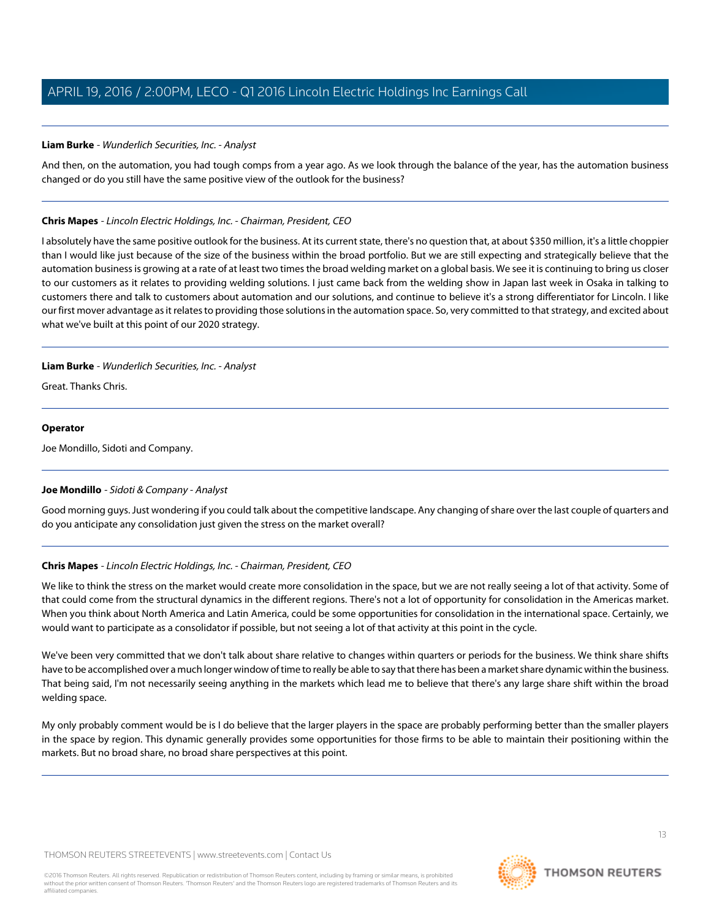# **Liam Burke** - Wunderlich Securities, Inc. - Analyst

And then, on the automation, you had tough comps from a year ago. As we look through the balance of the year, has the automation business changed or do you still have the same positive view of the outlook for the business?

# **Chris Mapes** - Lincoln Electric Holdings, Inc. - Chairman, President, CEO

I absolutely have the same positive outlook for the business. At its current state, there's no question that, at about \$350 million, it's a little choppier than I would like just because of the size of the business within the broad portfolio. But we are still expecting and strategically believe that the automation business is growing at a rate of at least two times the broad welding market on a global basis. We see it is continuing to bring us closer to our customers as it relates to providing welding solutions. I just came back from the welding show in Japan last week in Osaka in talking to customers there and talk to customers about automation and our solutions, and continue to believe it's a strong differentiator for Lincoln. I like our first mover advantage as it relates to providing those solutions in the automation space. So, very committed to that strategy, and excited about what we've built at this point of our 2020 strategy.

## **Liam Burke** - Wunderlich Securities, Inc. - Analyst

Great. Thanks Chris.

## **Operator**

<span id="page-12-0"></span>Joe Mondillo, Sidoti and Company.

# **Joe Mondillo** - Sidoti & Company - Analyst

Good morning guys. Just wondering if you could talk about the competitive landscape. Any changing of share over the last couple of quarters and do you anticipate any consolidation just given the stress on the market overall?

# **Chris Mapes** - Lincoln Electric Holdings, Inc. - Chairman, President, CEO

We like to think the stress on the market would create more consolidation in the space, but we are not really seeing a lot of that activity. Some of that could come from the structural dynamics in the different regions. There's not a lot of opportunity for consolidation in the Americas market. When you think about North America and Latin America, could be some opportunities for consolidation in the international space. Certainly, we would want to participate as a consolidator if possible, but not seeing a lot of that activity at this point in the cycle.

We've been very committed that we don't talk about share relative to changes within quarters or periods for the business. We think share shifts have to be accomplished over a much longer window of time to really be able to say that there has been a market share dynamic within the business. That being said, I'm not necessarily seeing anything in the markets which lead me to believe that there's any large share shift within the broad welding space.

My only probably comment would be is I do believe that the larger players in the space are probably performing better than the smaller players in the space by region. This dynamic generally provides some opportunities for those firms to be able to maintain their positioning within the markets. But no broad share, no broad share perspectives at this point.

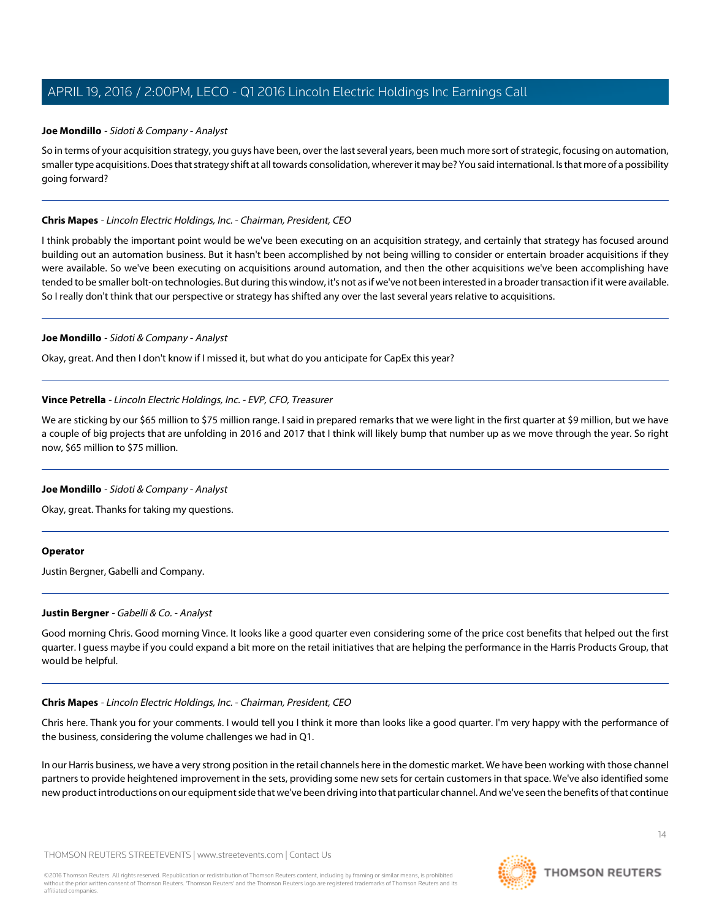#### **Joe Mondillo** - Sidoti & Company - Analyst

So in terms of your acquisition strategy, you guys have been, over the last several years, been much more sort of strategic, focusing on automation, smaller type acquisitions. Does that strategy shift at all towards consolidation, wherever it may be? You said international. Is that more of a possibility going forward?

#### **Chris Mapes** - Lincoln Electric Holdings, Inc. - Chairman, President, CEO

I think probably the important point would be we've been executing on an acquisition strategy, and certainly that strategy has focused around building out an automation business. But it hasn't been accomplished by not being willing to consider or entertain broader acquisitions if they were available. So we've been executing on acquisitions around automation, and then the other acquisitions we've been accomplishing have tended to be smaller bolt-on technologies. But during this window, it's not as if we've not been interested in a broader transaction if it were available. So I really don't think that our perspective or strategy has shifted any over the last several years relative to acquisitions.

#### **Joe Mondillo** - Sidoti & Company - Analyst

Okay, great. And then I don't know if I missed it, but what do you anticipate for CapEx this year?

## **Vince Petrella** - Lincoln Electric Holdings, Inc. - EVP, CFO, Treasurer

We are sticking by our \$65 million to \$75 million range. I said in prepared remarks that we were light in the first quarter at \$9 million, but we have a couple of big projects that are unfolding in 2016 and 2017 that I think will likely bump that number up as we move through the year. So right now, \$65 million to \$75 million.

# **Joe Mondillo** - Sidoti & Company - Analyst

Okay, great. Thanks for taking my questions.

#### <span id="page-13-0"></span>**Operator**

Justin Bergner, Gabelli and Company.

#### **Justin Bergner** - Gabelli & Co. - Analyst

Good morning Chris. Good morning Vince. It looks like a good quarter even considering some of the price cost benefits that helped out the first quarter. I guess maybe if you could expand a bit more on the retail initiatives that are helping the performance in the Harris Products Group, that would be helpful.

#### **Chris Mapes** - Lincoln Electric Holdings, Inc. - Chairman, President, CEO

Chris here. Thank you for your comments. I would tell you I think it more than looks like a good quarter. I'm very happy with the performance of the business, considering the volume challenges we had in Q1.

In our Harris business, we have a very strong position in the retail channels here in the domestic market. We have been working with those channel partners to provide heightened improvement in the sets, providing some new sets for certain customers in that space. We've also identified some new product introductions on our equipment side that we've been driving into that particular channel. And we've seen the benefits of that continue

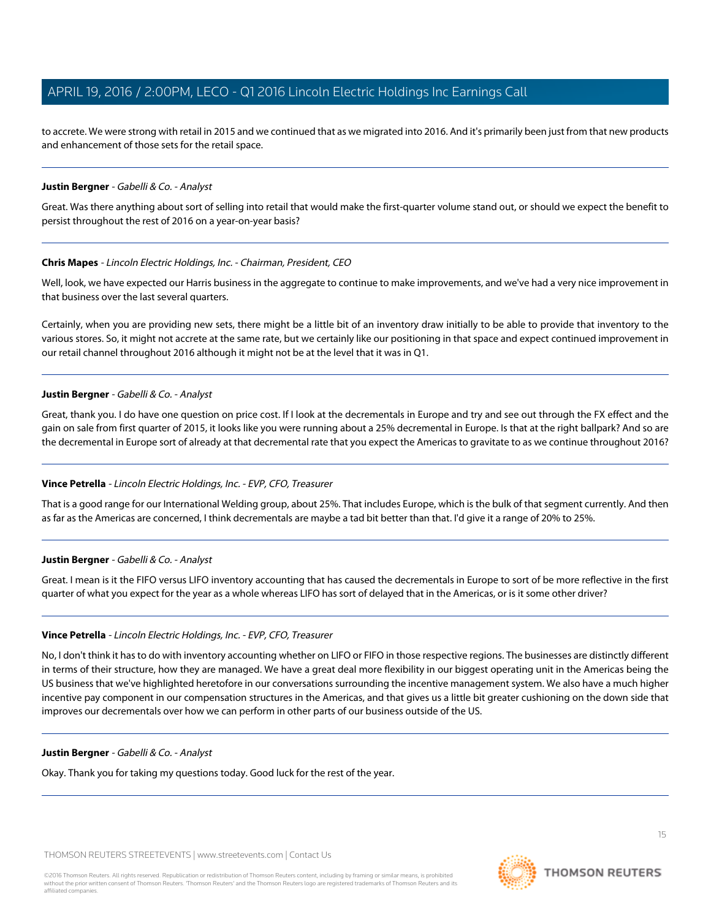to accrete. We were strong with retail in 2015 and we continued that as we migrated into 2016. And it's primarily been just from that new products and enhancement of those sets for the retail space.

#### **Justin Bergner** - Gabelli & Co. - Analyst

Great. Was there anything about sort of selling into retail that would make the first-quarter volume stand out, or should we expect the benefit to persist throughout the rest of 2016 on a year-on-year basis?

#### **Chris Mapes** - Lincoln Electric Holdings, Inc. - Chairman, President, CEO

Well, look, we have expected our Harris business in the aggregate to continue to make improvements, and we've had a very nice improvement in that business over the last several quarters.

Certainly, when you are providing new sets, there might be a little bit of an inventory draw initially to be able to provide that inventory to the various stores. So, it might not accrete at the same rate, but we certainly like our positioning in that space and expect continued improvement in our retail channel throughout 2016 although it might not be at the level that it was in Q1.

#### **Justin Bergner** - Gabelli & Co. - Analyst

Great, thank you. I do have one question on price cost. If I look at the decrementals in Europe and try and see out through the FX effect and the gain on sale from first quarter of 2015, it looks like you were running about a 25% decremental in Europe. Is that at the right ballpark? And so are the decremental in Europe sort of already at that decremental rate that you expect the Americas to gravitate to as we continue throughout 2016?

#### **Vince Petrella** - Lincoln Electric Holdings, Inc. - EVP, CFO, Treasurer

That is a good range for our International Welding group, about 25%. That includes Europe, which is the bulk of that segment currently. And then as far as the Americas are concerned, I think decrementals are maybe a tad bit better than that. I'd give it a range of 20% to 25%.

#### **Justin Bergner** - Gabelli & Co. - Analyst

Great. I mean is it the FIFO versus LIFO inventory accounting that has caused the decrementals in Europe to sort of be more reflective in the first quarter of what you expect for the year as a whole whereas LIFO has sort of delayed that in the Americas, or is it some other driver?

#### **Vince Petrella** - Lincoln Electric Holdings, Inc. - EVP, CFO, Treasurer

No, I don't think it has to do with inventory accounting whether on LIFO or FIFO in those respective regions. The businesses are distinctly different in terms of their structure, how they are managed. We have a great deal more flexibility in our biggest operating unit in the Americas being the US business that we've highlighted heretofore in our conversations surrounding the incentive management system. We also have a much higher incentive pay component in our compensation structures in the Americas, and that gives us a little bit greater cushioning on the down side that improves our decrementals over how we can perform in other parts of our business outside of the US.

#### **Justin Bergner** - Gabelli & Co. - Analyst

Okay. Thank you for taking my questions today. Good luck for the rest of the year.

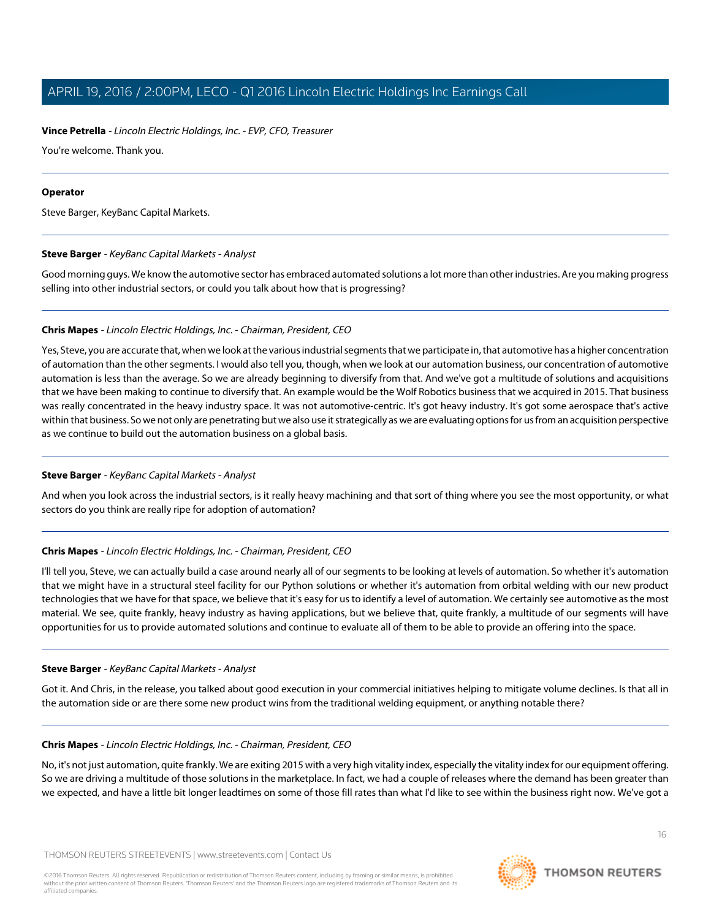# **Vince Petrella** - Lincoln Electric Holdings, Inc. - EVP, CFO, Treasurer

You're welcome. Thank you.

# **Operator**

<span id="page-15-0"></span>Steve Barger, KeyBanc Capital Markets.

# **Steve Barger** - KeyBanc Capital Markets - Analyst

Good morning guys. We know the automotive sector has embraced automated solutions a lot more than other industries. Are you making progress selling into other industrial sectors, or could you talk about how that is progressing?

# **Chris Mapes** - Lincoln Electric Holdings, Inc. - Chairman, President, CEO

Yes, Steve, you are accurate that, when we look at the various industrial segments that we participate in, that automotive has a higher concentration of automation than the other segments. I would also tell you, though, when we look at our automation business, our concentration of automotive automation is less than the average. So we are already beginning to diversify from that. And we've got a multitude of solutions and acquisitions that we have been making to continue to diversify that. An example would be the Wolf Robotics business that we acquired in 2015. That business was really concentrated in the heavy industry space. It was not automotive-centric. It's got heavy industry. It's got some aerospace that's active within that business. So we not only are penetrating but we also use it strategically as we are evaluating options for us from an acquisition perspective as we continue to build out the automation business on a global basis.

# **Steve Barger** - KeyBanc Capital Markets - Analyst

And when you look across the industrial sectors, is it really heavy machining and that sort of thing where you see the most opportunity, or what sectors do you think are really ripe for adoption of automation?

# **Chris Mapes** - Lincoln Electric Holdings, Inc. - Chairman, President, CEO

I'll tell you, Steve, we can actually build a case around nearly all of our segments to be looking at levels of automation. So whether it's automation that we might have in a structural steel facility for our Python solutions or whether it's automation from orbital welding with our new product technologies that we have for that space, we believe that it's easy for us to identify a level of automation. We certainly see automotive as the most material. We see, quite frankly, heavy industry as having applications, but we believe that, quite frankly, a multitude of our segments will have opportunities for us to provide automated solutions and continue to evaluate all of them to be able to provide an offering into the space.

# **Steve Barger** - KeyBanc Capital Markets - Analyst

Got it. And Chris, in the release, you talked about good execution in your commercial initiatives helping to mitigate volume declines. Is that all in the automation side or are there some new product wins from the traditional welding equipment, or anything notable there?

# **Chris Mapes** - Lincoln Electric Holdings, Inc. - Chairman, President, CEO

No, it's not just automation, quite frankly. We are exiting 2015 with a very high vitality index, especially the vitality index for our equipment offering. So we are driving a multitude of those solutions in the marketplace. In fact, we had a couple of releases where the demand has been greater than we expected, and have a little bit longer leadtimes on some of those fill rates than what I'd like to see within the business right now. We've got a

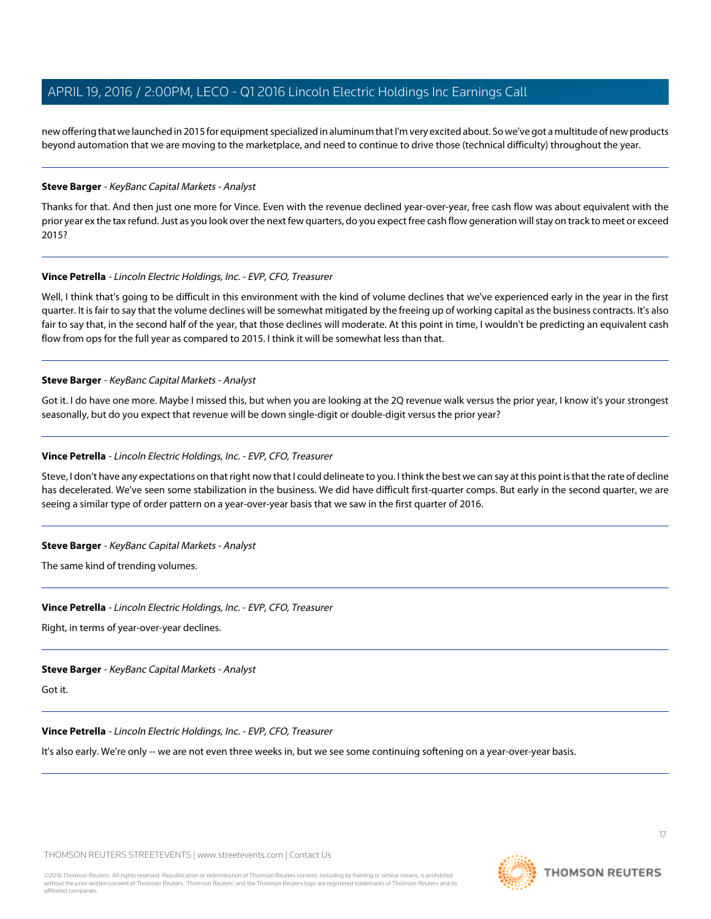new offering that we launched in 2015 for equipment specialized in aluminum that I'm very excited about. So we've got a multitude of new products beyond automation that we are moving to the marketplace, and need to continue to drive those (technical difficulty) throughout the year.

#### **Steve Barger** - KeyBanc Capital Markets - Analyst

Thanks for that. And then just one more for Vince. Even with the revenue declined year-over-year, free cash flow was about equivalent with the prior year ex the tax refund. Just as you look over the next few quarters, do you expect free cash flow generation will stay on track to meet or exceed 2015?

#### **Vince Petrella** - Lincoln Electric Holdings, Inc. - EVP, CFO, Treasurer

Well, I think that's going to be difficult in this environment with the kind of volume declines that we've experienced early in the year in the first quarter. It is fair to say that the volume declines will be somewhat mitigated by the freeing up of working capital as the business contracts. It's also fair to say that, in the second half of the year, that those declines will moderate. At this point in time, I wouldn't be predicting an equivalent cash flow from ops for the full year as compared to 2015. I think it will be somewhat less than that.

## **Steve Barger** - KeyBanc Capital Markets - Analyst

Got it. I do have one more. Maybe I missed this, but when you are looking at the 2Q revenue walk versus the prior year, I know it's your strongest seasonally, but do you expect that revenue will be down single-digit or double-digit versus the prior year?

## **Vince Petrella** - Lincoln Electric Holdings, Inc. - EVP, CFO, Treasurer

Steve, I don't have any expectations on that right now that I could delineate to you. I think the best we can say at this point is that the rate of decline has decelerated. We've seen some stabilization in the business. We did have difficult first-quarter comps. But early in the second quarter, we are seeing a similar type of order pattern on a year-over-year basis that we saw in the first quarter of 2016.

#### **Steve Barger** - KeyBanc Capital Markets - Analyst

The same kind of trending volumes.

# **Vince Petrella** - Lincoln Electric Holdings, Inc. - EVP, CFO, Treasurer

Right, in terms of year-over-year declines.

#### **Steve Barger** - KeyBanc Capital Markets - Analyst

Got it.

# **Vince Petrella** - Lincoln Electric Holdings, Inc. - EVP, CFO, Treasurer

It's also early. We're only -- we are not even three weeks in, but we see some continuing softening on a year-over-year basis.

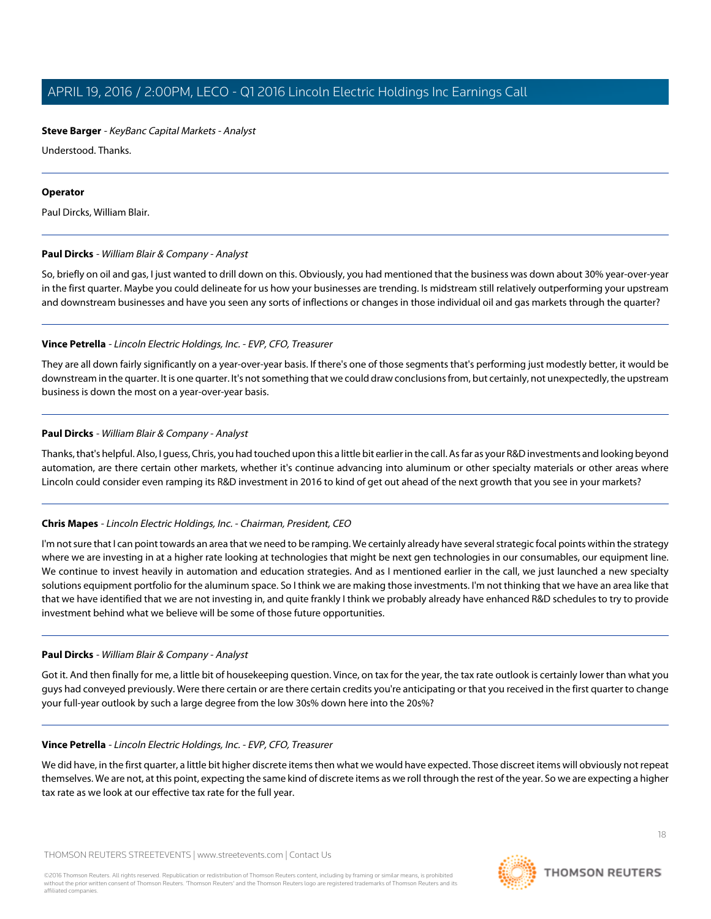# **Steve Barger** - KeyBanc Capital Markets - Analyst

Understood. Thanks.

# **Operator**

<span id="page-17-0"></span>Paul Dircks, William Blair.

# **Paul Dircks** - William Blair & Company - Analyst

So, briefly on oil and gas, I just wanted to drill down on this. Obviously, you had mentioned that the business was down about 30% year-over-year in the first quarter. Maybe you could delineate for us how your businesses are trending. Is midstream still relatively outperforming your upstream and downstream businesses and have you seen any sorts of inflections or changes in those individual oil and gas markets through the quarter?

# **Vince Petrella** - Lincoln Electric Holdings, Inc. - EVP, CFO, Treasurer

They are all down fairly significantly on a year-over-year basis. If there's one of those segments that's performing just modestly better, it would be downstream in the quarter. It is one quarter. It's not something that we could draw conclusions from, but certainly, not unexpectedly, the upstream business is down the most on a year-over-year basis.

# **Paul Dircks** - William Blair & Company - Analyst

Thanks, that's helpful. Also, I guess, Chris, you had touched upon this a little bit earlier in the call. As far as your R&D investments and looking beyond automation, are there certain other markets, whether it's continue advancing into aluminum or other specialty materials or other areas where Lincoln could consider even ramping its R&D investment in 2016 to kind of get out ahead of the next growth that you see in your markets?

# **Chris Mapes** - Lincoln Electric Holdings, Inc. - Chairman, President, CEO

I'm not sure that I can point towards an area that we need to be ramping. We certainly already have several strategic focal points within the strategy where we are investing in at a higher rate looking at technologies that might be next gen technologies in our consumables, our equipment line. We continue to invest heavily in automation and education strategies. And as I mentioned earlier in the call, we just launched a new specialty solutions equipment portfolio for the aluminum space. So I think we are making those investments. I'm not thinking that we have an area like that that we have identified that we are not investing in, and quite frankly I think we probably already have enhanced R&D schedules to try to provide investment behind what we believe will be some of those future opportunities.

# **Paul Dircks** - William Blair & Company - Analyst

Got it. And then finally for me, a little bit of housekeeping question. Vince, on tax for the year, the tax rate outlook is certainly lower than what you guys had conveyed previously. Were there certain or are there certain credits you're anticipating or that you received in the first quarter to change your full-year outlook by such a large degree from the low 30s% down here into the 20s%?

# **Vince Petrella** - Lincoln Electric Holdings, Inc. - EVP, CFO, Treasurer

We did have, in the first quarter, a little bit higher discrete items then what we would have expected. Those discreet items will obviously not repeat themselves. We are not, at this point, expecting the same kind of discrete items as we roll through the rest of the year. So we are expecting a higher tax rate as we look at our effective tax rate for the full year.

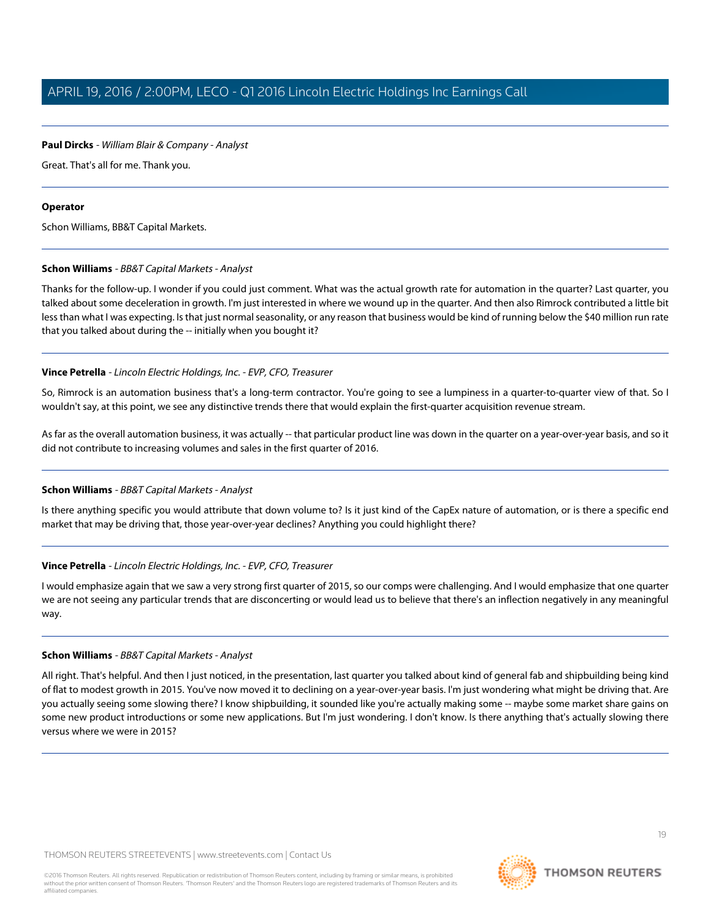# **Paul Dircks** - William Blair & Company - Analyst

Great. That's all for me. Thank you.

## **Operator**

Schon Williams, BB&T Capital Markets.

## **Schon Williams** - BB&T Capital Markets - Analyst

Thanks for the follow-up. I wonder if you could just comment. What was the actual growth rate for automation in the quarter? Last quarter, you talked about some deceleration in growth. I'm just interested in where we wound up in the quarter. And then also Rimrock contributed a little bit less than what I was expecting. Is that just normal seasonality, or any reason that business would be kind of running below the \$40 million run rate that you talked about during the -- initially when you bought it?

# **Vince Petrella** - Lincoln Electric Holdings, Inc. - EVP, CFO, Treasurer

So, Rimrock is an automation business that's a long-term contractor. You're going to see a lumpiness in a quarter-to-quarter view of that. So I wouldn't say, at this point, we see any distinctive trends there that would explain the first-quarter acquisition revenue stream.

As far as the overall automation business, it was actually -- that particular product line was down in the quarter on a year-over-year basis, and so it did not contribute to increasing volumes and sales in the first quarter of 2016.

# **Schon Williams** - BB&T Capital Markets - Analyst

Is there anything specific you would attribute that down volume to? Is it just kind of the CapEx nature of automation, or is there a specific end market that may be driving that, those year-over-year declines? Anything you could highlight there?

# **Vince Petrella** - Lincoln Electric Holdings, Inc. - EVP, CFO, Treasurer

I would emphasize again that we saw a very strong first quarter of 2015, so our comps were challenging. And I would emphasize that one quarter we are not seeing any particular trends that are disconcerting or would lead us to believe that there's an inflection negatively in any meaningful way.

#### **Schon Williams** - BB&T Capital Markets - Analyst

All right. That's helpful. And then I just noticed, in the presentation, last quarter you talked about kind of general fab and shipbuilding being kind of flat to modest growth in 2015. You've now moved it to declining on a year-over-year basis. I'm just wondering what might be driving that. Are you actually seeing some slowing there? I know shipbuilding, it sounded like you're actually making some -- maybe some market share gains on some new product introductions or some new applications. But I'm just wondering. I don't know. Is there anything that's actually slowing there versus where we were in 2015?